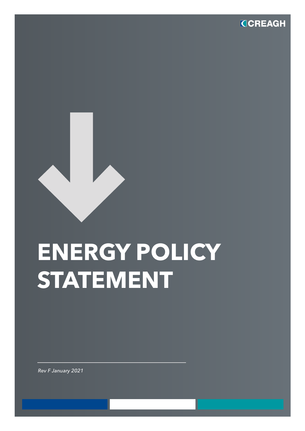

## **ENERGY POLICY STATEMENT**

*Rev F January 2021*